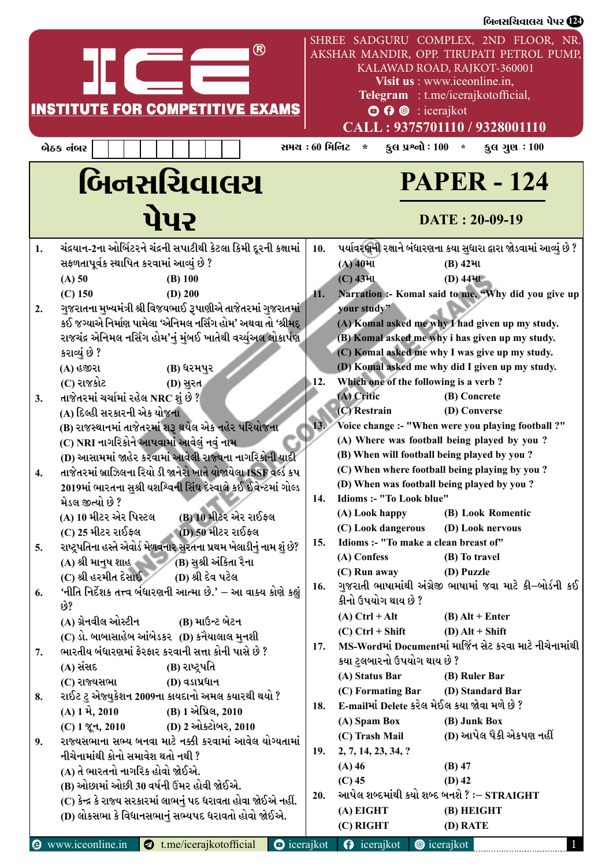|    |                                                                        |                     |            |                             | બિનસચિવાલચ પેપર <b>(22)</b>                                                                                                                                                             |  |
|----|------------------------------------------------------------------------|---------------------|------------|-----------------------------|-----------------------------------------------------------------------------------------------------------------------------------------------------------------------------------------|--|
|    | ®                                                                      |                     |            |                             | SHREE SADGURU COMPLEX, 2ND FLOOR, NR.<br>AKSHAR MANDIR, OPP. TIRUPATI PETROL PUMP,<br>KALAWAD ROAD, RAJKOT-360001<br>Visit us : www.iceonline.in,<br>Telegram : t.me/icerajkotofficial, |  |
|    | <b>INSTITUTE FOR COMPETITIVE EXAMS</b>                                 |                     |            |                             | $\odot$ $\odot$ $\odot$ : icerajkot                                                                                                                                                     |  |
|    |                                                                        |                     |            |                             | CALL: 9375701110 / 9328001110                                                                                                                                                           |  |
|    |                                                                        |                     |            |                             |                                                                                                                                                                                         |  |
|    | બેઠક નંબર                                                              | સમય : 60 મિનિટ      |            | $\star$                     | કુલ પ્રશ્નો : $100 *$<br>કુલ ગુણ $:100$                                                                                                                                                 |  |
|    | બિનસચિવાલચ<br>પેપર                                                     |                     |            |                             | <b>PAPER - 124</b><br>DATE: 20-09-19                                                                                                                                                    |  |
|    |                                                                        |                     |            |                             |                                                                                                                                                                                         |  |
| 1. | ચંદ્રયાન-2ના ઓર્બિટરને ચંદ્રની સપાટીથી કેટલા કિમી દૂરની કક્ષામાં       |                     | 10.        |                             | પર્યાવરણની રક્ષાને બંધારણના કયા સુધારા દ્વારા જોડવામાં આવ્યું છે ?                                                                                                                      |  |
|    | સફળતાપૂર્વક સ્થાપિત કરવામાં આવ્યું છે ?                                |                     |            | $(A)$ 40મા                  | $(B)$ 42 <sup>Hl</sup>                                                                                                                                                                  |  |
|    | $(A)$ 50<br>$(B)$ 100                                                  |                     |            | <b>(C) 4341</b>             | $(D)$ 444 $U$                                                                                                                                                                           |  |
|    | $(C)$ 150<br>$(D)$ 200                                                 |                     | 41.        |                             | Narration :- Komal said to me, "Why did you give up                                                                                                                                     |  |
| 2. | ગુજરાતના મુખ્યમંત્રી શ્રી વિજયભાઈ રૂપાણીએ તાજેતરમાં ગુજરાતમાં          |                     |            | your study"                 |                                                                                                                                                                                         |  |
|    | કઈ જગ્યાએ નિર્માણ પામેલા 'એનિમલ નર્સિંગ હોમ' અથવા તો 'શ્રીમદ્          |                     |            |                             | (A) Komal asked me why I had given up my study.                                                                                                                                         |  |
|    | રાજચંદ્ર એનિમલ નર્સિંગ હોમ'નું મુંબઈ ખાતેથી વર્ચ્યુઅલ લોકાર્પણ         |                     |            |                             | (B) Komal asked me why i has given up my study.                                                                                                                                         |  |
|    | કરાવ્યું છે ?                                                          |                     |            |                             | (C) Komal asked me why I was give up my study.                                                                                                                                          |  |
|    | (B) ધરમપુર<br>(A) હજીરા                                                |                     |            |                             | (D) Komal asked me why did I given up my study.                                                                                                                                         |  |
|    | (C) રાજકોટ<br>(D) સુરત                                                 |                     | 12.        |                             | Which one of the following is a verb?                                                                                                                                                   |  |
| 3. | તાજેતરમાં ચર્ચામાં રહેલ NRC શું છે ?                                   |                     |            | (A) Critic                  | (B) Concrete                                                                                                                                                                            |  |
|    | (A) દિલ્હી સરકારની એક યોજના                                            |                     |            | (C) Restrain                | (D) Converse                                                                                                                                                                            |  |
|    | (B) રાજસ્થાનમાં તાજેતરમાં શરૂ થયેલ એક નહેર પરિયોજના                    |                     | 13.        |                             | Voice change :- "When were you playing football ?"                                                                                                                                      |  |
|    | (C) NRI નાગરિકોને આપવામાં આવેલું નવું નામ                              |                     |            |                             | (A) Where was football being played by you?                                                                                                                                             |  |
|    | (D) આસામમાં જાહેર કરવામાં આવેલી રાજ્યના નાગરિકોની યાદી                 |                     |            |                             | (B) When will football being played by you?                                                                                                                                             |  |
|    | તાજેતરમાં બ્રાઝિલના રિયો ડી જાનેરો ખાતે યોજાયેલા ISSF વર્લ્ડ કપ        |                     |            |                             | (C) When where football being playing by you?                                                                                                                                           |  |
|    | 2019માં ભારતના સુશ્રી યશશ્વિની સિંઘ દેસ્વાલે કઈ ઈવેન્ટમાં ગોલ્ડ        |                     |            |                             | (D) When was football being played by you?                                                                                                                                              |  |
|    | મેડલ જીત્યો છે ?                                                       |                     | <b>14.</b> | Idioms :- "To Look blue"    |                                                                                                                                                                                         |  |
|    | (B) 10 મીટર એર રાઈફલ<br>(A) 10 મીટર એર પિસ્ટલ                          |                     |            | (A) Look happy              | (B) Look Romentic                                                                                                                                                                       |  |
|    | (D) 50 મીટર રાઈફલ<br>(C) 25 મીટર રાઈફલ                                 |                     |            |                             | (C) Look dangerous (D) Look nervous                                                                                                                                                     |  |
| 5. | રાષ્ટ્રપતિના હસ્તે એવોર્ડ મેળવનાર સુરતના પ્રથમ ખેલાડીનું નામ શું છે?   |                     | 15.        |                             | Idioms :- "To make a clean breast of"                                                                                                                                                   |  |
|    | $(A)$ શ્રી માનુષ શાહ (B) સુશ્રી અંકિતા રૈના                            |                     |            | (A) Confess                 | (B) To travel                                                                                                                                                                           |  |
|    | (C) શ્રી હરમીત દેસાઈ<br>(D) શ્રી દેવ પટેલ                              |                     |            | (C) Run away                | (D) Puzzle                                                                                                                                                                              |  |
| 6. | 'નીતિ નિર્દેશક તત્ત્વ બંધારણની આત્મા છે.' – આ વાક્ય કોણે કહ્યું<br>છે? |                     | 16.        | કીનો ઉપયોગ થાય છે ?         | ગુજરાતી ભાષામાંથી અંગ્રેજી ભાષામાં જવા માટે કી–બોર્ડની કઈ                                                                                                                               |  |
|    | (A) ગ્રેનવીલ ઓસ્ટીન               (B) માઉન્ટ બેટન                      |                     |            | $(A)$ Ctrl + Alt            | $(B)$ Alt + Enter                                                                                                                                                                       |  |
|    | $(C)$ ડો. બાબાસાહેબ આંબેડકર $(D)$ કનૈયાલાલ મુનશી                       |                     |            | $(C)$ Ctrl + Shift          | $(D)$ Alt + Shift                                                                                                                                                                       |  |
| 7. | ભારતીય બંધારણમાં ફેરફાર કરવાની સત્તા કોની પાસે છે ?                    |                     | 17.        |                             | MS-Wordમાં Documentમાં માર્જિન સેટ કરવા માટે નીચેનામાંથી                                                                                                                                |  |
|    | (A) સંસદ<br>(B) રાષ્ટ્રપતિ                                             |                     |            | કયા ટુલબારનો ઉપયોગ થાય છે ? |                                                                                                                                                                                         |  |
|    | (C) રાજ્યસભા<br>(D) વડાપ્રધાન                                          |                     |            | (A) Status Bar              | (B) Ruler Bar                                                                                                                                                                           |  |
| 8. | રાઈટ ટુ એજ્યુકેશન 2009ના કાયદાનો અમલ કયારથી થયો ?                      |                     |            |                             | (C) Formating Bar (D) Standard Bar                                                                                                                                                      |  |
|    | (A) 1 મે, 2010<br>(B) 1 એપ્રિલ, 2010                                   |                     | 18.        |                             | E-mailમાં Delete કરેલ મેઈલ કયા જોવા મળે છે ?                                                                                                                                            |  |
|    | (C) 1 જૂન, 2010 (D) 2 ઓક્ટોબર, 2010                                    |                     |            | (A) Spam Box                | (B) Junk Box                                                                                                                                                                            |  |
| 9. | રાજ્યસભાના સભ્ય બનવા માટે નક્કી કરવામાં આવેલ યોગ્યતામાં                |                     |            | (C) Trash Mail              | (D) આપેલ પૈકી એકપણ નહીં                                                                                                                                                                 |  |
|    | નીચેનામાંથી કોનો સમાવેશ થતો નથી ?                                      |                     | 19.        | 2, 7, 14, 23, 34, ?         |                                                                                                                                                                                         |  |
|    | (A) તે ભારતનો નાગરિક હોવો જોઈએ.                                        |                     |            | $(A)$ 46                    | $(B)$ 47                                                                                                                                                                                |  |
|    | (B) ઓછામાં ઓછી 30 વર્ષની ઉંમર હોવી જોઈએ.                               |                     |            | $(C)$ 45                    | $(D)$ 42                                                                                                                                                                                |  |
|    | (C) કેન્દ્ર કે રાજ્ય સરકારમાં લાભનું પદ ધરાવતા હોવા જોઈએ નહીં.         |                     | 20.        |                             | આપેલ શબ્દમાંથી કયો શબ્દ બનશે ? :– STRAIGHT                                                                                                                                              |  |
|    | (D) લોકસભા કે વિધાનસભાનું સભ્યપદ ધરાવતો હોવો જોઈએ.                     |                     |            | (A) EIGHT                   | (B) HEIGHT                                                                                                                                                                              |  |
|    |                                                                        |                     |            | (C) RIGHT                   | (D) RATE                                                                                                                                                                                |  |
|    | <b>O</b> www.iceonline.in<br>t.me/icerajkotofficial                    | $\bullet$ icerajkot |            | $\theta$ icerajkot          | <b>O</b> icerajkot                                                                                                                                                                      |  |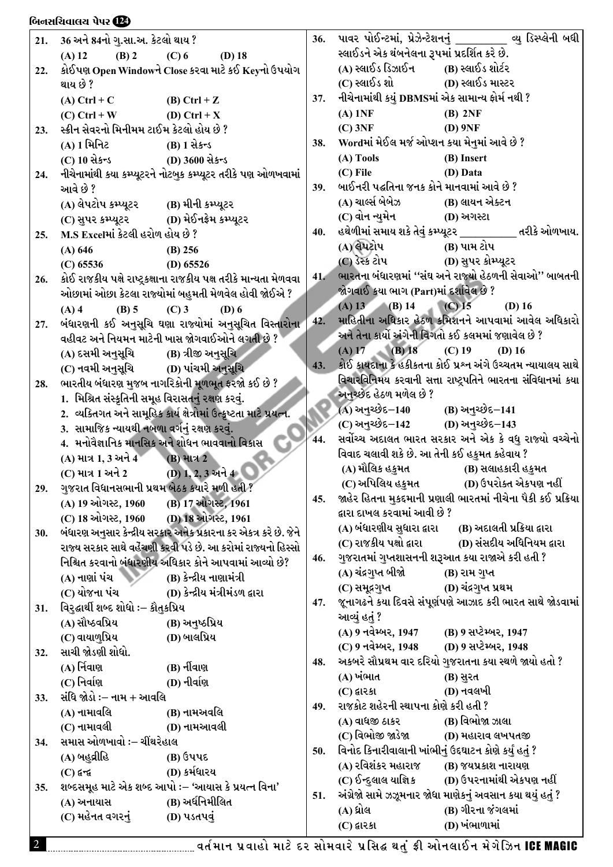## <u>બિનસચિવાલય પેપર છે?</u>

| 21. | 36 અને 84નો ગુ.સા.અ. કેટલો થાય ?                  |                                                                     | 36. |                                                               | પાવર પોઈન્ટમાં, પ્રેઝેન્ટેશનનું ________ વ્યુ ડિસ્પ્લેની બધી                      |
|-----|---------------------------------------------------|---------------------------------------------------------------------|-----|---------------------------------------------------------------|-----------------------------------------------------------------------------------|
|     | (A) 12<br>$(B)$ 2                                 | $(C)$ 6<br>$(D)$ 18                                                 |     | સ્લાઈડને એક થંબનેલના રૂપમાં પ્રદર્શિત કરે છે.                 |                                                                                   |
| 22. |                                                   | કોઈપણ Open Windowને Close કરવા માટે કઈ Keyનો ઉપયોગ                  |     | (A) સ્લાઈડ ડિઝાઈન (B) સ્લાઈડ શોર્ટર                           |                                                                                   |
|     | થાય છે ?                                          |                                                                     |     |                                                               |                                                                                   |
|     | (A) Ctrl + C (B) Ctrl + Z                         |                                                                     | 37. | નીચેનામાંથી કયું DBMSમાં એક સામાન્ય ફોર્મ નથી ?               |                                                                                   |
|     | (C) Ctrl + W (D) Ctrl + X                         |                                                                     |     | $(A)$ 1NF                                                     | $(B)$ 2NF                                                                         |
| 23. | સ્ક્રીન સેવરનો મિનીમમ ટાઈમ કેટલો હોય છે ?         |                                                                     |     | $(C)$ 3NF                                                     | $(D)$ 9NF                                                                         |
|     | (A) 1 મિનિટ (B) 1 સેકન્ડ                          |                                                                     | 38. | Wordમાં મેઈલ મર્જ ઓપ્શન કયા મેનુમાં આવે છે ?                  |                                                                                   |
|     | (C) $10 \text{ days}$ (D) $3600 \text{ days}$     |                                                                     |     | (A) Tools                                                     | (B) Insert                                                                        |
| 24. |                                                   | નીચેનામાંથી કયા કમ્પ્યૂટરને નોટબુક કમ્પ્યૂટર તરીકે પણ ઓળખવામાં      |     | $(C)$ File                                                    | (D) Data                                                                          |
|     | આવે છે ?                                          |                                                                     | 39. | બાઈનરી પદ્ધતિના જનક કોને માનવામાં આવે છે ?                    |                                                                                   |
|     | (A) લેપટોપ કમ્પ્યૂટર (B) મીની કમ્પ્યૂટર           |                                                                     |     | (A) ચાર્લ્સ બેબેઝ               (B) લાયન એક્ટન                |                                                                                   |
|     | (C) સુપર કમ્પ્યૂટર (D) મેઈનફ્રેમ કમ્પ્યૂટર        |                                                                     |     | (C) વોન ન્યુમેન                           (D) અગસ્ટા          |                                                                                   |
| 25. | M.S Excelમાં કેટલી હરોળ હોય છે ?                  |                                                                     | 40. |                                                               | હથેળીમાં સમાય શકે તેવું કમ્પ્યૂટર __________ તરીકે ઓળખાય.                         |
|     | (A) 646                                           | $(B)$ 256                                                           |     | (A) લેપટોપ (B) પામ ટોપ                                        |                                                                                   |
|     | $(C)$ 65536                                       | (D) $65526$                                                         |     | (C) ડેસ્ક ટોપ                             (D) સુપર કોમ્પ્યૂટર |                                                                                   |
| 26. |                                                   | કોઈ રાજકીય પક્ષે રાષ્ટ્રકક્ષાના રાજકીય પક્ષ તરીકે માન્યતા મેળવવા    | 41. |                                                               | ભારતના બંધારણમાં "સંઘ અને રાજ્યો હેઠળની સેવાઓ" બાબતની                             |
|     |                                                   | ઓછામાં ઓછા કેટલા રાજ્યોમાં બહુમતી મેળવેલ હોવી જોઈએ ?                |     | જોગવાઈ કયા ભાગ (Part)માં દર્શાવેલ છે ?                        |                                                                                   |
|     | $(A)$ 4<br>$(B)$ 5                                | $(C)$ 3<br>$(D)$ 6                                                  |     | $(A) 13$ $(B) 14$                                             | (C) 15<br>$(D)$ 16                                                                |
| 27. |                                                   | બંધારણની કઈ અનુસૂચિ ઘણા રાજ્યોમાં અનુસૂચિત વિસ્તારોના               | 42. |                                                               | માહિતીના અધિકાર હેઠળ કમિશનને આપવામાં આવેલ અધિકારો                                 |
|     |                                                   | વહીવટ અને નિયમન માટેની ખાસ જોગવાઈઓને લગતી છે ?                      |     |                                                               | અને તેના કાર્યો અંગેની વિગતો કઈ કલમમાં જણાવેલ છે ?                                |
|     |                                                   |                                                                     |     | (A) 17 (B) 18 (C) 19 (D) 16                                   |                                                                                   |
|     |                                                   |                                                                     | 43. |                                                               | કોઈ કાયદાના કે હકીકતના કોઈ પ્રશ્ન અંગે ઉચ્ચતમ ન્યાયાલય સાથે                       |
| 28. |                                                   | ભારતીય બંધારણ મુજબ નાગરિકોની મૂળભૂત ફરજો કઈ છે ?                    |     |                                                               | વિચારવિનિમય કરવાની સત્તા રાષ્ટ્રપતિને ભારતના સંવિધાનમાં કયા                       |
|     | 1. મિશ્રિત સંસ્કૃતિની સમૂહ વિરાસતનું રક્ષણ કરવું. |                                                                     |     | અનુચ્છેદ હેઠળ મળેલ છે ?                                       |                                                                                   |
|     |                                                   | 2. વ્યક્તિગત અને સામૂહિક કાર્ય ક્ષેત્રોમાં ઉત્કૃષ્ટતા માટે પ્રયત્ન. |     | (A) અનુચ્છેદ <b>−14</b> 0                                     | (B) અનુચ્છેદ−141                                                                  |
|     | 3.  સામાજિક ન્યાયથી નબળા વર્ગનું રક્ષણ કરવું.     |                                                                     |     | (C) અનુચ્છેદ–142 (D) અનુચ્છેદ–143                             |                                                                                   |
|     |                                                   | 4.  મનોવૈજ્ઞાનિક માનસિક અને શોધન ભાવવાનો વિકાસ                      | 44. |                                                               | સર્વોચ્ચ અદાલત ભારત સરકાર અને એક કે વધુ રાજ્યો વચ્ચેનો                            |
|     | (A) માત્ર 1, 3 અને 4 (B) માત્ર 2                  |                                                                     |     | વિવાદ ચલાવી શકે છે. આ તેની કઈ હકુમત કહેવાય ?                  |                                                                                   |
|     | (C) માત્ર 1 અને 2 (D) 1, 2, 3 અને 4               |                                                                     |     |                                                               | (A) મૌલિક હકુમત (B) સલાહકારી હકુમત                                                |
| 29. | ગુજરાત વિધાનસભાની પ્રથમ બેઠક કયારે મળી હતી ?      |                                                                     |     |                                                               | (C) અપિલિય હકુમત (D) ઉપરોક્ત એકપણ નહીં                                            |
|     | (A) 19 ઓગસ્ટ, 1960                                | (B) 17 ઓગસ્ટ, 1961                                                  | 45. |                                                               | જાહેર હિતના મુકદમાની પ્રણાલી ભારતમાં નીચેના પૈકી કઈ પ્રક્રિયા                     |
|     | (C) 18 ઓગસ્ટ, 1960                                | (D) 18 ઓગસ્ટ, 1961                                                  |     | દ્વારા દાખલ કરવામાં આવી છે ?                                  |                                                                                   |
| 30. |                                                   | બંધારણ અનુસાર કેન્દ્રીય સરકાર અનેક પ્રકારના કર એકત્ર કરે છે. જેને   |     | (A) બંધારણીય સુધારા દ્વારા                                    | (B) અદાલતી પ્રક્રિયા દ્વારા                                                       |
|     |                                                   | રાજ્ય સરકાર સાથે વહેંચણી કરવી પડે છે. આ કરોમાં રાજ્યનો હિસ્સો       |     | (C) રાજકીય પક્ષો દ્વારા                                       | (D) સંસદીય અધિનિયમ દ્વારા                                                         |
|     |                                                   | નિશ્ચિત કરવાનો બંધારણીય અધિકાર કોને આપવામાં આવ્યો છે?               | 46. |                                                               | ગુજરાતમાં ગુપ્તશાસનની શરૂઆત કયા રાજાએ કરી હતી ?                                   |
|     | (A) નાણાં પંચ                                     | (B) કેન્દ્રીય નાણામંત્રી                                            |     | (A) ચંદ્રગુપ્ત બીજો                                           | (B) રામ ગુપ્ત                                                                     |
|     | (C) યોજના પંચ                                     | (D) કેન્દ્રીય મંત્રીમંડળ દ્વારા                                     |     | (C) સમૂદ્રગુપ્ત                                               | (D) ચંદ્રગુપ્ત પ્રથમ<br>જૂનાગઢને કયા દિવસે સંપૂર્ણપણે આઝાદ કરી ભારત સાથે જોડવામાં |
| 31. | વિરુદ્ઘાર્થી શબ્દ શોધો ઃ– કૌતુકપ્રિય              |                                                                     | 47. |                                                               |                                                                                   |
|     | (A) સૌષ્ઠવપ્રિય                                   | (B) અનુષ્ઠપ્રિય                                                     |     | આવ્યું હતું ?<br>(A) 9 નવેમ્બર, 1947                          | (B) 9 સપ્ટેમ્બર, 1947                                                             |
|     | (C) વાયાળુપ્રિય                                   | (D) બાલપ્રિય                                                        |     | (C) 9 નવેમ્બર, 1948                                           | (D) 9 સપ્ટેમ્બર, 1948                                                             |
| 32. | સાચી જોડણી શોધો.                                  |                                                                     |     |                                                               | અકબરે સૌપ્રથમ વાર દરિયો ગુજરાતના કયા સ્થળે જાયો હતો ?                             |
|     | (A) ર્નિવાણ                                       | (B) નીંવાણ                                                          | 48. | (A) ખંભાત                                                     |                                                                                   |
|     | (C) નિર્વાણ                                       | (D) નીર્વાણ                                                         |     | (C) દ્વારકા                                                   | (B) સુરત<br>(D) નવલખી                                                             |
| 33. | સંધિ જોડો :– નામ + આવલિ                           |                                                                     | 49. | રાજકોટ શહેરની સ્થાપના કોણે કરી હતી ?                          |                                                                                   |
|     | (A) નામાવલિ                                       | (B) નામઅવલિ                                                         |     | (A) વાધજી ઠાકર                                                | (B) વિભોજા ઝાલા                                                                   |
|     | (C) નામાવલી                                       | (D) નામઆવલી                                                         |     | (C) વિભોજી જાડેજા                                             | (D) મહારાવ લખપતજી                                                                 |
| 34. | સમાસ ઓળખાવો :– ચીંથરેહાલ                          |                                                                     | 50. |                                                               | વિનોદ કિનારીવાલાની ખાંભીનું ઉદઘાટન કોણે કર્યું હતું ?                             |
|     | (A) બહુવ્રીહિ                                     | $(B)$ ઉપપદ                                                          |     | (A) રવિશંકર મહારાજ                                            | (B) જયપ્રકાશ નારાયણ                                                               |
|     | $(C)$ and                                         | (D) કર્મધારય                                                        |     | (C) ઈન્દુલાલ યાજ્ઞિક                                          | (D) ઉપરનામાંથી એકપણ નહીં                                                          |
| 35. |                                                   | શબ્દસમૂહ માટે એક શબ્દ આપો :– 'આયાસ કે પ્રયત્ન વિના'                 | 51. |                                                               | અંગ્રેજો સામે ઝઝૂમનાર જોધા માણેકનું અવસાન કયા થયું હતું ?                         |
|     | (A) અનાયાસ                                        | (B) અર્ધનિમીલિત                                                     |     | (A) ધ્રોલ                                                     | (B) ગીરના જંગલમાં                                                                 |
|     | (C) મહેનત વગરનું                                  | (D) પડતપવું                                                         |     |                                                               | (D) ખંભાળામાં                                                                     |
|     |                                                   |                                                                     |     | $(C)$ દ્વારકા                                                 |                                                                                   |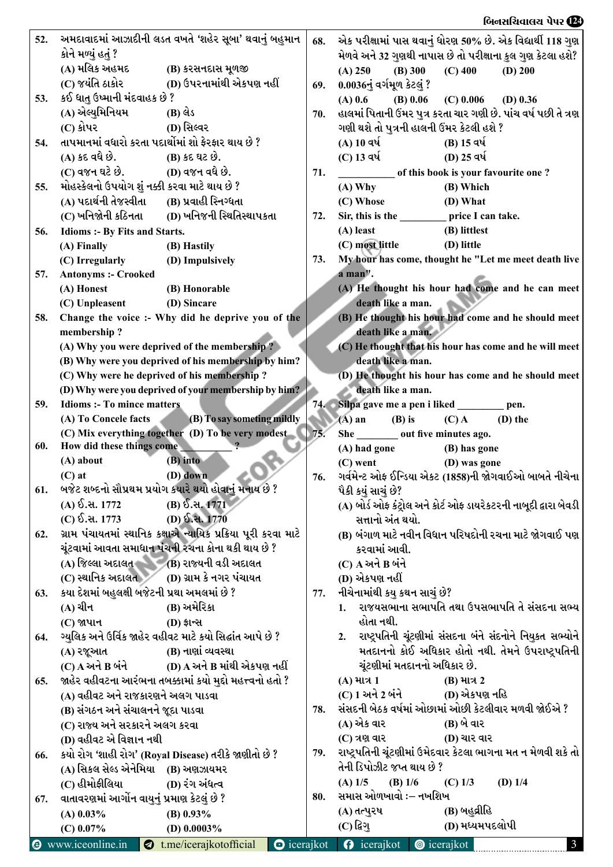## $\alpha$  . The contract of the contract of the contract of the contract of the contract of the contract of the contract of the contract of the contract of the contract of the contract of the contract of the contract of the c

| 52. |                                               | અમદાવાદમાં આઝાદીની લડત વખતે 'શહેર સૂબા' થવાનું બહુમાન              |                     | 68. | એક પરીક્ષામાં પાસ થવાનું ધોરણ 50% છે. એક વિદ્યાર્થી 118 ગુણ                            |
|-----|-----------------------------------------------|--------------------------------------------------------------------|---------------------|-----|----------------------------------------------------------------------------------------|
|     | કોને મળ્યું હતું ?                            |                                                                    |                     |     | મેળવે અને 32 ગુણથી નાપાસ છે તો પરીક્ષાના કુલ ગુણ કેટલા હશે?                            |
|     |                                               |                                                                    |                     |     | (A) 250<br>(B) 300<br>$(C)$ 400<br>$(D)$ 200                                           |
|     |                                               |                                                                    |                     | 69. | 0.0036નું વર્ગમૂળ કેટલું ?                                                             |
| 53. | કઈ ધાતુ ઉષ્માની મંદવાહક છે ?                  |                                                                    |                     |     | $(B)$ 0.06<br>$(A)$ 0.6<br>$(C)$ 0.006<br>$(D)$ 0.36                                   |
|     | (A) એલ્યુમિનિયમ                               | (B) લેડ                                                            |                     | 70. | હાલમાં પિતાની ઉંમર પુત્ર કરતા ચાર ગણી છે. પાંચ વર્ષ પછી તે ત્રણ                        |
|     | (C) કોપર                                      | (D) સિલ્વર                                                         |                     |     | ગણી થશે તો પુત્રની હાલની ઉંમર કેટલી હશે ?                                              |
| 54. |                                               | તાપમાનમાં વધારો કરતા પદાર્થોમાં શો ફેરફાર થાય છે ?                 |                     |     | (A) 10 વર્ષ<br>(B) 15 વર્ષ                                                             |
|     | (A) કદ વધે છે.                                | (B) કદ ઘટ છે.                                                      |                     |     | (C) 13 વર્ષ<br>(D) 25 વર્ષ                                                             |
|     | (C) વજન ઘટે છે. (D) વજન વધે છે.               |                                                                    |                     | 71. | of this book is your favourite one?                                                    |
| 55. | મોહસ્કેલનો ઉપયોગ શું નક્કી કરવા માટે થાય છે ? |                                                                    |                     |     | (B) Which<br>$(A)$ Why                                                                 |
|     | (A) પદાર્થની તેજસ્વીતા (B) પ્રવાહી સ્નિગ્ધતા  |                                                                    |                     |     | (C) Whose<br>(D) What                                                                  |
|     | (C) ખનિજોની કઠિનતા                            | (D) ખનિજની સ્થિતિસ્થાપકતા                                          |                     | 72. | Sir, this is the ____________ price I can take.                                        |
| 56. | Idioms :- By Fits and Starts.                 |                                                                    |                     |     | (A) least<br>(B) littlest                                                              |
|     | (A) Finally                                   | (B) Hastily                                                        |                     |     | (C) most little<br>(D) little                                                          |
|     | (C) Irregularly                               | (D) Impulsively                                                    |                     | 73. | My hour has come, thought he "Let me meet death live                                   |
| 57. | <b>Antonyms :- Crooked</b>                    |                                                                    |                     |     | a man".                                                                                |
|     | (A) Honest                                    | (B) Honorable                                                      |                     |     | (A) He thought his hour had come and he can meet                                       |
|     | (C) Unpleasent                                | (D) Sincare                                                        |                     |     | death like a man.                                                                      |
| 58. |                                               | Change the voice :- Why did he deprive you of the                  |                     |     | (B) He thought his hour had come and he should meet                                    |
|     | membership?                                   |                                                                    |                     |     | death like a man.                                                                      |
|     |                                               | (A) Why you were deprived of the membership?                       |                     |     | (C) He thought that his hour has come and he will meet                                 |
|     |                                               | (B) Why were you deprived of his membership by him?                |                     |     | death like a man.                                                                      |
|     |                                               | (C) Why were he deprived of his membership?                        |                     |     | (D) He thought his hour has come and he should meet                                    |
|     |                                               | (D) Why were you deprived of your membership by him?               |                     |     | death like a man.                                                                      |
| 59. | <b>Idioms :- To mince matters</b>             |                                                                    |                     |     | 74. Silpa gave me a pen i liked __________ pen.                                        |
|     | (A) To Concele facts                          | (B) To say someting mildly                                         |                     |     | $(C)$ A<br>$(A)$ an<br>$(B)$ is<br>$(D)$ the                                           |
|     |                                               | (C) Mix everything together (D) To be very modest                  |                     | 75. | She out five minutes ago.                                                              |
| 60. | How did these things come                     |                                                                    |                     |     | (A) had gone<br>(B) has gone                                                           |
|     | (A) about                                     | $(B)$ into                                                         |                     |     | $(C)$ went<br>(D) was gone                                                             |
| 61. | $(C)$ at                                      | (D) down<br>બજેટ શબ્દનો સૌપ્રથમ પ્રયોગ કયારે થયો હોવાનું મનાય છે ? |                     | 76. | ગર્વમેન્ટ ઓફ ઈન્ડિયા એકટ (1858)ની જોગવાઈઓ બાબતે નીચેના                                 |
|     | (A) ઈ.સ. 1772                                 | (B) ઈ.સ. $1771$                                                    |                     |     | પૈકી કયું સાચું છે?                                                                    |
|     | (C) ઈ.સ. 1773                                 | (D) ઈ.સ. 1770                                                      |                     |     | (A) બોર્ડ ઓફ કંટ્રોલ અને કોર્ટ ઓફ ડાયરેકટરની નાબૂદી દ્વારા બેવડી  <br>સત્તાનો અંત થયો. |
| 62. |                                               | ગ્રામ પંચાયતમાં સ્થાનિક કક્ષાએ ન્યાયિક પ્રક્રિયા પૂરી કરવા માટે    |                     |     | (B) બંગાળ માટે નવીન વિધાન પરિષદોની રચના માટે જોગવાઈ પણ                                 |
|     |                                               | ચૂંટવામાં આવતા સમાધાન પંચની રચના કોના થકી થાય છે ?                 |                     |     | કરવામાં આવી.                                                                           |
|     |                                               | (A) જિલ્લા અદાલત (B) રાજ્યની વડી અદાલત                             |                     |     | (C) A અને B બંને                                                                       |
|     |                                               | (C) સ્થાનિક અદાલત (D) ગ્રામ કે નગર પંચાયત                          |                     |     | (D) એકપણ નહીં                                                                          |
| 63. | કયા દેશમાં બહુલક્ષી બજેટની પ્રથા અમલમાં છે ?  |                                                                    |                     | 77. | નીચેનામાંથી કયુ કથન સાચું છે?                                                          |
|     | (A) ચીન                                       | (B) અમેરિકા                                                        |                     |     | રાજયસભાના સભાપતિ તથા ઉપસભાપતિ તે સંસદના સભ્ય<br>1.                                     |
|     | (C) જાપાન                                     | (D) ई। न्स                                                         |                     |     | હોતા નથી.                                                                              |
| 64. |                                               | ગ્યુલિક અને ઉર્વિક જાહેર વહીવટ માટે કયો સિદ્ધાંત આપે છે ?          |                     |     | 2. રાષ્ટ્રપતિની ચૂંટણીમાં સંસદના બંને સંદનોને નિયુકત સભ્યોને                           |
|     | (A) રજૂઆત                                     | (B) નાણાં વ્યવસ્થા                                                 |                     |     | મતદાનનો કોઈ અધિકાર હોતો નથી. તેમને ઉપરાષ્ટ્રપતિની                                      |
|     |                                               | $(C)$ A અને B બંને $(D)$ A અને B માંથી એકપણ નહીં                   |                     |     | ચૂંટણીમાં મતદાનનો અધિકાર છે.                                                           |
| 65. |                                               | જાહેર વહીવટના આરંભના તબક્કામાં કયો મુદ્દો મહત્ત્વનો હતો ?          |                     |     | (A) માત્ર 1<br>$(B)$ માત્ર 2                                                           |
|     | (A) વહીવટ અને રાજકારણને અલગ પાડવા             |                                                                    |                     |     | (C) 1 અને 2 બંને<br>(D) એકપણ નહિ                                                       |
|     | (B) સંગઠન અને સંચાલનને જૂદા પાડવા             |                                                                    |                     | 78. | સંસદની બેઠક વર્ષમાં ઓછામાં ઓછી કેટલીવાર મળવી જોઈએ ?                                    |
|     | (C) રાજ્ય અને સરકારને અલગ કરવા                |                                                                    |                     |     | (A) એક વાર<br>(B) બે વાર                                                               |
|     | (D) વહીવટ એ વિજ્ઞાન નથી                       |                                                                    |                     |     | (C) ત્રણ વાર<br>(D) ચાર વાર                                                            |
| 66. |                                               | કયો રોગ 'શાહી રોગ' (Royal Disease) તરીકે જાણીતો છે ?               |                     | 79. | રાષ્ટ્રપતિની ચૂંટણીમાં ઉમેદવાર કેટલા ભાગના મત ન મેળવી શકે તો                           |
|     | (A) સિકલ સેલ્ડ એનેમિયા (B) અણઝાયમર            |                                                                    |                     |     | તેની ડિપોઝીટ જપ્ત થાય છે ?                                                             |
|     | (C) હીમોફીલિયા                                | (D) રંગ અંધત્વ                                                     |                     |     | $(A)$ 1/5<br>(B) $1/6$<br>$(C)$ 1/3<br>$(D)$ 1/4                                       |
| 67. | વાતાવરણમાં આર્ગોન વાયુનું પ્રમાણ કેટલું છે ?  |                                                                    |                     | 80. | સમાસ ઓળખાવો :– નખશિખ                                                                   |
|     | $(A)$ 0.03%                                   | (B) $0.93\%$                                                       |                     |     | (B) બહુવ્રીહિ<br>(A) તત્પુરષ                                                           |
|     | $(C)$ 0.07%                                   | (D) $0.0003\%$                                                     |                     |     | (D) મધ્યમપદલોપી<br>$(C)$ દિગુ                                                          |
| ☺   | www.iceonline.in                              | t.me/icerajkotofficial                                             | $\bullet$ icerajkot |     | icerajkot $\bullet$ icerajkot<br>$\Omega$<br>$\mathbf{3}$                              |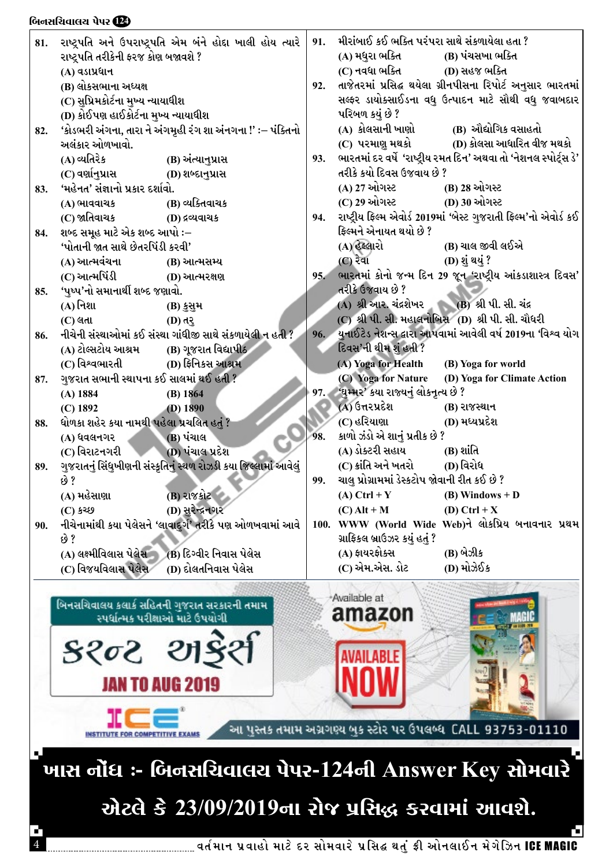|     | ששמעש זינ                                 |                                                                                                 |     |                                                   |                                                                   |
|-----|-------------------------------------------|-------------------------------------------------------------------------------------------------|-----|---------------------------------------------------|-------------------------------------------------------------------|
| 81. |                                           | રાષ્ટ્રપતિ અને ઉપરાષ્ટ્રપતિ એમ બંને હોદ્દા ખાલી હોય ત્યારે                                      | 91. | મીરાંબાઈ કઈ ભક્તિ પરંપરા સાથે સંકળાયેલા હતા ?     |                                                                   |
|     | રાષ્ટ્રપતિ તરીકેની ફરજ કોણ બજાવશે ?       |                                                                                                 |     | (A) મધુરા ભક્તિ                                   | (B) પંચસખા ભક્તિ                                                  |
|     | (A) વડાપ્રધાન                             |                                                                                                 |     | (C) નવધા ભક્તિ                                    | (D) સહજ ભક્તિ                                                     |
|     | (B) લોકસભાના અધ્યક્ષ                      |                                                                                                 | 92. |                                                   | તાજેતરમાં પ્રસિદ્ઘ થયેલા ગ્રીનપીસના રિપોર્ટ અનુસાર ભારતમાં        |
|     | (C) સુપ્રિમકોર્ટના મુખ્ય ન્યાયાધીશ        |                                                                                                 |     |                                                   | સલ્ફર ડાયોક્સાઈડના વધુ ઉત્પાદન માટે સૌથી વધુ જવાબદાર              |
|     | (D) કોઈપણ હાઈકોર્ટના મુખ્ય ન્યાયાધીશ      |                                                                                                 |     | પરિબળ કયું છે ?                                   |                                                                   |
| 82. |                                           | 'કોડભરી અંગના, તારા ને અંગમૃહી રંગ શા અંનગના !' :– પંક્તિનો                                     |     | (A) કોલસાની ખાણો                                  | (B) ઔદ્યોગિક વસાહતો                                               |
|     | અલંકાર ઓળખાવો.                            |                                                                                                 |     |                                                   |                                                                   |
|     | (A) વ્યતિરેક                              | (B) અંત્યાનુપ્રાસ                                                                               | 93. |                                                   | ભારતમાં દર વર્ષે 'રાષ્ટ્રીય રમત દિન' અથવા તો 'નેશનલ સ્પોર્ટ્સ ડે' |
|     |                                           |                                                                                                 |     | તરીકે કયો દિવસ ઉજવાય છે ?                         |                                                                   |
| 83. | 'મહેનત' સંજ્ઞાનો પ્રકાર દર્શાવો.          |                                                                                                 |     | (A) 27 ઓગસ્ટ                                      | (B) 28 ઓગસ્ટ                                                      |
|     | (A) ભાવવાચક                               | (B) વ્યક્તિવાચક                                                                                 |     | (C) 29 ઓગસ્ટ (D) 30 ઓગસ્ટ                         |                                                                   |
|     |                                           |                                                                                                 | 94. |                                                   | રાષ્ટ્રીય ફિલ્મ એવોર્ડ 2019માં 'બેસ્ટ ગુજરાતી ફિલ્મ'નો એવોર્ડ કઈ  |
| 84. | શબ્દ સમૂહ માટે એક શબ્દ આપો :–             |                                                                                                 |     | ફિલ્મને એનાયત થયો છે ?                            |                                                                   |
|     | 'પોતાની જાત સાથે છેતરપિંડી કરવી'          |                                                                                                 |     | (A) હેલ્લારો                                      | (B) ચાલ જીવી લઈએ                                                  |
|     |                                           |                                                                                                 |     | $(C)$ रेवा                                        | (D) શું થયું ?                                                    |
|     | (A) આત્મવંચના (B) આત્મસમ્ય                |                                                                                                 |     |                                                   | 95. ભારતમાં કોનો જન્મ દિન 29 જૂન 'રાષ્ટ્રીય આંકડાશાસ્ત્ર દિવસ'    |
|     | (C) આત્મપિંડી                             | (D) આત્મરક્ષણ                                                                                   |     | તરીકે ઉજવાય છે ?                                  |                                                                   |
| 85. | 'પુષ્પ'નો સમાનાર્થી શબ્દ જણાવો.           |                                                                                                 |     | (A) શ્રી આર. ચંદ્રશેખર (B) શ્રી પી. સી. ચંદ્ર     |                                                                   |
|     | (A) નિશા                                  | (B) કુસુમ                                                                                       |     | (C) શ્રી પી. સી. મહાલનોબિસ (D) શ્રી પી. સી. ચૌધરી |                                                                   |
|     | $(C)$ લતા                                 | (D) त्?                                                                                         |     |                                                   |                                                                   |
| 86. |                                           | નીચેની સંસ્થાઓમાં કઈ સંસ્થા ગાંધીજી સાથે સંકળાયેલી ન હતી ?                                      |     |                                                   | 96. યુનાઈટેડ નેશન્સ દ્વારા આપવામાં આવેલી વર્ષ 2019ના 'વિશ્વ યોગ   |
|     | (A) ટોલ્સટોય આશ્રમ (B) ગૂજરાત વિદ્યાપીઠ   |                                                                                                 |     | દિવસ'ની થીમ શું હતી ?                             |                                                                   |
|     | (C) વિશ્વભારતી                            | (D) ફિનિકસ આશ્રમ                                                                                |     | (A) Yoga for Health                               | (B) Yoga for world                                                |
| 87. | ગુજરાત સભાની સ્થાપના કઈ સાલમાં થઈ હતી ?   |                                                                                                 |     | (C) Yoga for Nature                               | (D) Yoga for Climate Action                                       |
|     | $(A)$ 1884                                | $(B)$ 1864                                                                                      |     | 97. 'ઘુમ્મર' કયા રાજ્યનું લોકનૃત્ય છે ?           |                                                                   |
|     | $(C)$ 1892                                | (D) 1890                                                                                        |     | (A) ઉત્તરપ્રદેશ                                   | (B) રાજસ્થાન                                                      |
| 88. | ધોળકા શહેર કયા નામથી પહેલા પ્રચલિત હતું ? |                                                                                                 |     | (C) હરિયાણા                                       | (D) મધ્યપ્રદેશ                                                    |
|     | (A) ધવલનગર                                | (B) પંચાલ                                                                                       | 98. | કાળો ઝંડો એ શાનું પ્રતીક છે ?                     |                                                                   |
|     | (C) વિરાટનગરી                             | (D) પંચાલ પ્રદેશ                                                                                |     | (A) ડોક્ટરી સહાય                                  | $(B)$ શાંતિ                                                       |
| 89. |                                           | ગુજરાતનું સિંધુખીણની સંસ્કૃતિનું સ્થળ રોઝડી કયા જિલ્લામાં આવેલું                                |     | (C) ક્રાંતિ અને ખતરો                              | (D) વિરોધ                                                         |
|     | છે ?                                      |                                                                                                 | 99. | ચાલુ પ્રોગ્રામમાં ડેસ્કટોપ જોવાની રીત કઈ છે ?     |                                                                   |
|     | (A) મહેસાણા                               | (B) રાજકોટ                                                                                      |     | $(A)$ Ctrl + Y                                    | $(B)$ Windows + D                                                 |
|     | (C) કચ્છ                                  | (D) સુરેન્દ્રનગર                                                                                |     | $(C)$ Alt + M                                     | (D) Ctrl + $X$                                                    |
| 90. | છે ?                                      | નીચેનામાંથી કયા પેલેસને 'લાવાદુર્ગ' તરીકે પણ ઓળખવામાં આવે                                       |     | ગ્રાફિકલ બ્રાઉઝર કયું હતું ?                      | 100. WWW (World Wide Web)ને લોકપ્રિય બનાવનાર પ્રથમ                |
|     | (A) લક્ષ્મીવિલાસ પેલેસ                    | (B) દિગ્વીર નિવાસ પેલેસ                                                                         |     | (A) ફાયરફોક્સ                                     | (B) બેઝીક                                                         |
|     | (C) વિજયવિલાસ પેલેસ                       | (D) દોલતનિવાસ પેલેસ                                                                             |     | (C) એમ.એસ. ડોટ                                    | (D) મોઝેઈક                                                        |
|     |                                           | બિનસચિવાલય કલાર્ક સહિતની ગુજરાત સરકારની તમામ<br>સ્પર્ધાત્મક પરીક્ષાઓ માટે ઉપયોગી<br>३२०२ थाईर्श |     | Available at<br>amazon<br><b>AILABLE</b>          |                                                                   |
|     |                                           |                                                                                                 |     |                                                   |                                                                   |
|     |                                           | <b>JAN TO AUG 2019</b>                                                                          |     |                                                   |                                                                   |
|     | r cet                                     |                                                                                                 |     |                                                   |                                                                   |

પસ્તક તમામ અગ્રગણ્ય બુક સ્ટોર પર ઉપલબ્ધ 93753-01110

H

ખાસ નોંધ :- બિનસચિવાલય પેપર-124ની Answer Key સોમવારે એટલે કે 23/09/2019ના રોજ પ્રસિદ્ધ કરવામાં આવશે.

આ

**INSTITUTE FOR COMPETITIVE!** 

 $64.436(102)$   $\overline{100}$